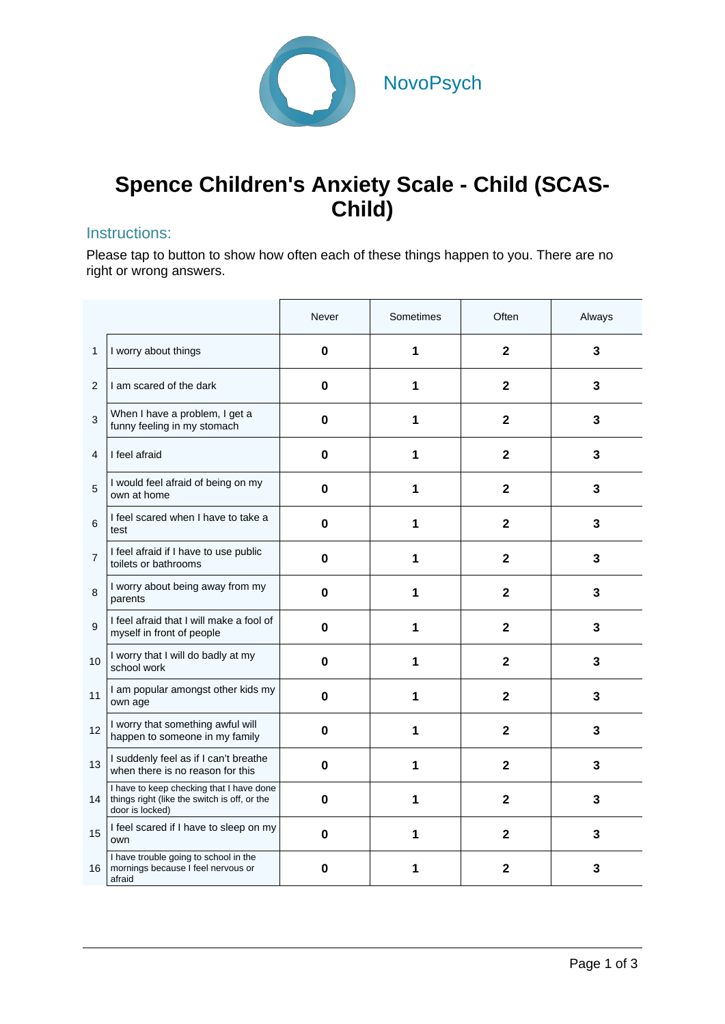

# **Spence Children's Anxiety Scale - Child (SCAS-Child)**

### Instructions:

Please tap to button to show how often each of these things happen to you. There are no right or wrong answers.

|                |                                                                                                             | Never       | Sometimes | Often                   | Always |
|----------------|-------------------------------------------------------------------------------------------------------------|-------------|-----------|-------------------------|--------|
| 1              | I worry about things                                                                                        | $\mathbf 0$ | 1         | $\mathbf{2}$            | 3      |
| 2              | I am scared of the dark                                                                                     | 0           | 1         | $\overline{2}$          | 3      |
| 3              | When I have a problem, I get a<br>funny feeling in my stomach                                               | 0           | 1         | $\mathbf{2}$            | 3      |
| 4              | I feel afraid                                                                                               | $\bf{0}$    | 1         | $\overline{2}$          | 3      |
| 5              | I would feel afraid of being on my<br>own at home                                                           | 0           | 1         | $\mathbf{2}$            | 3      |
| 6              | I feel scared when I have to take a<br>test                                                                 | $\mathbf 0$ | 1         | $\mathbf{2}$            | 3      |
| $\overline{7}$ | I feel afraid if I have to use public<br>toilets or bathrooms                                               | 0           | 1         | $\overline{2}$          | 3      |
| 8              | I worry about being away from my<br>parents                                                                 | 0           | 1         | $\mathbf{2}$            | 3      |
| 9              | I feel afraid that I will make a fool of<br>myself in front of people                                       | 0           | 1         | $\mathbf{2}$            | 3      |
| 10             | I worry that I will do badly at my<br>school work                                                           | $\mathbf 0$ | 1         | $\overline{\mathbf{2}}$ | 3      |
| 11             | I am popular amongst other kids my<br>own age                                                               | 0           | 1         | $\mathbf{2}$            | 3      |
| 12             | I worry that something awful will<br>happen to someone in my family                                         | 0           | 1         | $\overline{2}$          | 3      |
| 13             | I suddenly feel as if I can't breathe<br>when there is no reason for this                                   | 0           | 1         | $\overline{2}$          | 3      |
| 14             | I have to keep checking that I have done<br>things right (like the switch is off, or the<br>door is locked) | $\bf{0}$    | 1         | $\mathbf{2}$            | 3      |
| 15             | I feel scared if I have to sleep on my<br>own                                                               | 0           | 1         | $\overline{2}$          | 3      |
| 16             | I have trouble going to school in the<br>mornings because I feel nervous or<br>afraid                       | 0           | 1         | $\mathbf 2$             | 3      |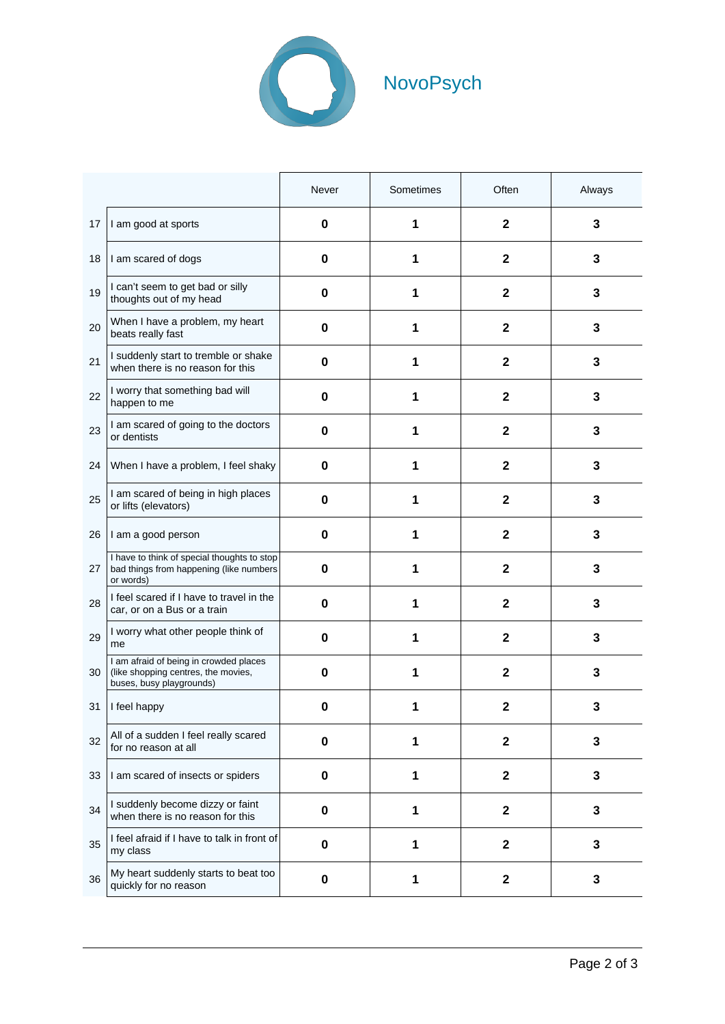

|    |                                                                                                           | Never       | Sometimes | Often                   | Always |
|----|-----------------------------------------------------------------------------------------------------------|-------------|-----------|-------------------------|--------|
| 17 | I am good at sports                                                                                       | 0           | 1         | $\mathbf{2}$            | 3      |
| 18 | I am scared of dogs                                                                                       | 0           | 1         | $\mathbf{2}$            | 3      |
| 19 | I can't seem to get bad or silly<br>thoughts out of my head                                               | 0           | 1         | $\mathbf{2}$            | 3      |
| 20 | When I have a problem, my heart<br>beats really fast                                                      | 0           | 1         | $\mathbf{2}$            | 3      |
| 21 | I suddenly start to tremble or shake<br>when there is no reason for this                                  | $\bf{0}$    | 1         | $\mathbf{2}$            | 3      |
| 22 | I worry that something bad will<br>happen to me                                                           | $\bf{0}$    | 1         | $\mathbf{2}$            | 3      |
| 23 | I am scared of going to the doctors<br>or dentists                                                        | 0           | 1         | $\mathbf 2$             | 3      |
| 24 | When I have a problem, I feel shaky                                                                       | 0           | 1         | $\mathbf{2}$            | 3      |
| 25 | I am scared of being in high places<br>or lifts (elevators)                                               | 0           | 1         | $\mathbf{2}$            | 3      |
| 26 | I am a good person                                                                                        | 0           | 1         | $\mathbf{2}$            | 3      |
| 27 | I have to think of special thoughts to stop<br>bad things from happening (like numbers<br>or words)       | 0           | 1         | $\mathbf{2}$            | 3      |
| 28 | I feel scared if I have to travel in the<br>car, or on a Bus or a train                                   | 0           | 1         | $\mathbf{2}$            | 3      |
| 29 | I worry what other people think of<br>me                                                                  | 0           | 1         | $\mathbf{2}$            | 3      |
| 30 | I am afraid of being in crowded places<br>(like shopping centres, the movies,<br>buses, busy playgrounds) | 0           | 1         | $\mathbf 2$             | 3      |
| 31 | I feel happy                                                                                              | 0           | 1         | 2                       | 3      |
| 32 | All of a sudden I feel really scared<br>for no reason at all                                              | $\mathbf 0$ | 1         | $\overline{\mathbf{2}}$ | 3      |
| 33 | I am scared of insects or spiders                                                                         | $\mathbf 0$ | 1         | $\overline{\mathbf{2}}$ | 3      |
| 34 | I suddenly become dizzy or faint<br>when there is no reason for this                                      | $\mathbf 0$ | 1         | $\mathbf{2}$            | 3      |
| 35 | I feel afraid if I have to talk in front of<br>my class                                                   | $\bf{0}$    | 1         | $\overline{\mathbf{2}}$ | 3      |
| 36 | My heart suddenly starts to beat too<br>quickly for no reason                                             | $\mathbf 0$ | 1         | $\overline{\mathbf{2}}$ | 3      |